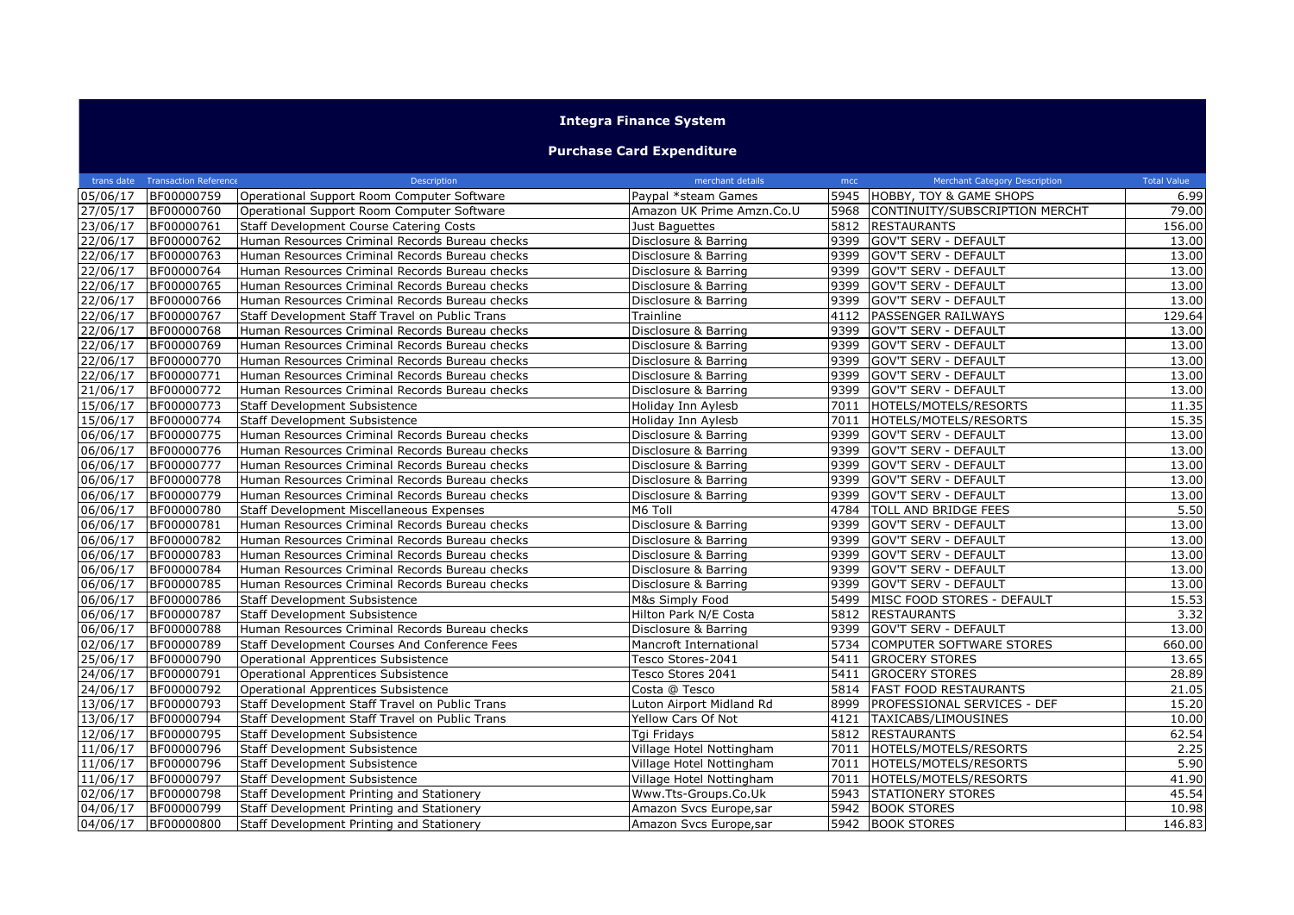## **Integra Finance System**

## **Purchase Card Expenditure**

|                       | trans date Transaction Reference | Description                                     | merchant details          | mcc  | Merchant Category Description       | <b>Total Value</b> |
|-----------------------|----------------------------------|-------------------------------------------------|---------------------------|------|-------------------------------------|--------------------|
| 05/06/17              | BF00000759                       | Operational Support Room Computer Software      | Paypal *steam Games       |      | 5945 HOBBY, TOY & GAME SHOPS        | 6.99               |
| 27/05/17              | BF00000760                       | Operational Support Room Computer Software      | Amazon UK Prime Amzn.Co.U |      | 5968 CONTINUITY/SUBSCRIPTION MERCHT | 79.00              |
| 23/06/17              | BF00000761                       | <b>Staff Development Course Catering Costs</b>  | Just Baguettes            |      | 5812 RESTAURANTS                    | 156.00             |
| 22/06/17              | BF00000762                       | Human Resources Criminal Records Bureau checks  | Disclosure & Barring      |      | 9399 GOV'T SERV - DEFAULT           | 13.00              |
| 22/06/17              | BF00000763                       | Human Resources Criminal Records Bureau checks  | Disclosure & Barring      | 9399 | GOV'T SERV - DEFAULT                | 13.00              |
| 22/06/17              | BF00000764                       | Human Resources Criminal Records Bureau checks  | Disclosure & Barring      | 9399 | <b>GOV'T SERV - DEFAULT</b>         | 13.00              |
| 22/06/17              | BF00000765                       | Human Resources Criminal Records Bureau checks  | Disclosure & Barring      | 9399 | <b>GOV'T SERV - DEFAULT</b>         | 13.00              |
| 22/06/17              | BF00000766                       | Human Resources Criminal Records Bureau checks  | Disclosure & Barring      | 9399 | <b>GOV'T SERV - DEFAULT</b>         | 13.00              |
| 22/06/17              | BF00000767                       | Staff Development Staff Travel on Public Trans  | Trainline                 | 4112 | <b>PASSENGER RAILWAYS</b>           | 129.64             |
| $\sqrt{22}/06/17$     | BF00000768                       | Human Resources Criminal Records Bureau checks  | Disclosure & Barring      | 9399 | <b>GOV'T SERV - DEFAULT</b>         | 13.00              |
| 22/06/17              | BF00000769                       | Human Resources Criminal Records Bureau checks  | Disclosure & Barring      | 9399 | <b>GOV'T SERV - DEFAULT</b>         | 13.00              |
| 22/06/17              | BF00000770                       | Human Resources Criminal Records Bureau checks  | Disclosure & Barring      | 9399 | <b>GOV'T SERV - DEFAULT</b>         | 13.00              |
| 22/06/17              | BF00000771                       | Human Resources Criminal Records Bureau checks  | Disclosure & Barring      | 9399 | <b>GOV'T SERV - DEFAULT</b>         | 13.00              |
| 21/06/17              | BF00000772                       | Human Resources Criminal Records Bureau checks  | Disclosure & Barring      | 9399 | <b>GOV'T SERV - DEFAULT</b>         | 13.00              |
| 15/06/17              | BF00000773                       | Staff Development Subsistence                   | Holiday Inn Aylesb        | 7011 | HOTELS/MOTELS/RESORTS               | 11.35              |
| 15/06/17              | BF00000774                       | <b>Staff Development Subsistence</b>            | Holiday Inn Aylesb        | 7011 | HOTELS/MOTELS/RESORTS               | 15.35              |
| 06/06/17              | BF00000775                       | Human Resources Criminal Records Bureau checks  | Disclosure & Barring      |      | 9399 GOV'T SERV - DEFAULT           | 13.00              |
| 06/06/17              | BF00000776                       | Human Resources Criminal Records Bureau checks  | Disclosure & Barring      | 9399 | GOV'T SERV - DEFAULT                | 13.00              |
| 06/06/17              | BF00000777                       | Human Resources Criminal Records Bureau checks  | Disclosure & Barring      | 9399 | <b>GOV'T SERV - DEFAULT</b>         | 13.00              |
| 06/06/17              | BF00000778                       | Human Resources Criminal Records Bureau checks  | Disclosure & Barring      | 9399 | <b>GOV'T SERV - DEFAULT</b>         | 13.00              |
| 06/06/17              | BF00000779                       | Human Resources Criminal Records Bureau checks  | Disclosure & Barring      | 9399 | GOV'T SERV - DEFAULT                | 13.00              |
| 06/06/17              | BF00000780                       | <b>Staff Development Miscellaneous Expenses</b> | M6 Toll                   | 4784 | <b>TOLL AND BRIDGE FEES</b>         | 5.50               |
| 06/06/17              | BF00000781                       | Human Resources Criminal Records Bureau checks  | Disclosure & Barring      | 9399 | <b>GOV'T SERV - DEFAULT</b>         | 13.00              |
| 06/06/17              | BF00000782                       | Human Resources Criminal Records Bureau checks  | Disclosure & Barring      | 9399 | <b>GOV'T SERV - DEFAULT</b>         | 13.00              |
| 06/06/17              | BF00000783                       | Human Resources Criminal Records Bureau checks  | Disclosure & Barring      | 9399 | GOV'T SERV - DEFAULT                | 13.00              |
| $06/06/\overline{17}$ | BF00000784                       | Human Resources Criminal Records Bureau checks  | Disclosure & Barring      | 9399 | <b>GOV'T SERV - DEFAULT</b>         | 13.00              |
| 06/06/17              | BF00000785                       | Human Resources Criminal Records Bureau checks  | Disclosure & Barring      | 9399 | <b>GOV'T SERV - DEFAULT</b>         | 13.00              |
| 06/06/17              | BF00000786                       | Staff Development Subsistence                   | M&s Simply Food           | 5499 | MISC FOOD STORES - DEFAULT          | 15.53              |
| 06/06/17              | BF00000787                       | <b>Staff Development Subsistence</b>            | Hilton Park N/E Costa     | 5812 | <b>RESTAURANTS</b>                  | 3.32               |
| 06/06/17              | BF00000788                       | Human Resources Criminal Records Bureau checks  | Disclosure & Barring      |      | 9399 GOV'T SERV - DEFAULT           | 13.00              |
| 02/06/17              | BF00000789                       | Staff Development Courses And Conference Fees   | Mancroft International    | 5734 | COMPUTER SOFTWARE STORES            | 660.00             |
| 25/06/17              | BF00000790                       | Operational Apprentices Subsistence             | Tesco Stores-2041         |      | 5411 GROCERY STORES                 | 13.65              |
| 24/06/17              | BF00000791                       | Operational Apprentices Subsistence             | Tesco Stores 2041         |      | 5411 GROCERY STORES                 | 28.89              |
| 24/06/17              | BF00000792                       | Operational Apprentices Subsistence             | Costa @ Tesco             | 5814 | <b>FAST FOOD RESTAURANTS</b>        | 21.05              |
| 13/06/17              | BF00000793                       | Staff Development Staff Travel on Public Trans  | Luton Airport Midland Rd  | 8999 | PROFESSIONAL SERVICES - DEF         | 15.20              |
| 13/06/17              | BF00000794                       | Staff Development Staff Travel on Public Trans  | Yellow Cars Of Not        | 4121 | TAXICABS/LIMOUSINES                 | 10.00              |
| 12/06/17              | BF00000795                       | <b>Staff Development Subsistence</b>            | Tgi Fridays               | 5812 | <b>RESTAURANTS</b>                  | 62.54              |
| 11/06/17              | BF00000796                       | <b>Staff Development Subsistence</b>            | Village Hotel Nottingham  | 7011 | HOTELS/MOTELS/RESORTS               | 2.25               |
| 11/06/17              | BF00000796                       | Staff Development Subsistence                   | Village Hotel Nottingham  |      | 7011 HOTELS/MOTELS/RESORTS          | 5.90               |
| 11/06/17              | BF00000797                       | Staff Development Subsistence                   | Village Hotel Nottingham  | 7011 | HOTELS/MOTELS/RESORTS               | 41.90              |
| 02/06/17              | BF00000798                       | Staff Development Printing and Stationery       | Www.Tts-Groups.Co.Uk      | 5943 | <b>STATIONERY STORES</b>            | 45.54              |
| 04/06/17              | BF00000799                       | Staff Development Printing and Stationery       | Amazon Svcs Europe, sar   |      | 5942 BOOK STORES                    | 10.98              |
| 04/06/17              | BF00000800                       | Staff Development Printing and Stationery       | Amazon Svcs Europe, sar   |      | 5942 BOOK STORES                    | 146.83             |
|                       |                                  |                                                 |                           |      |                                     |                    |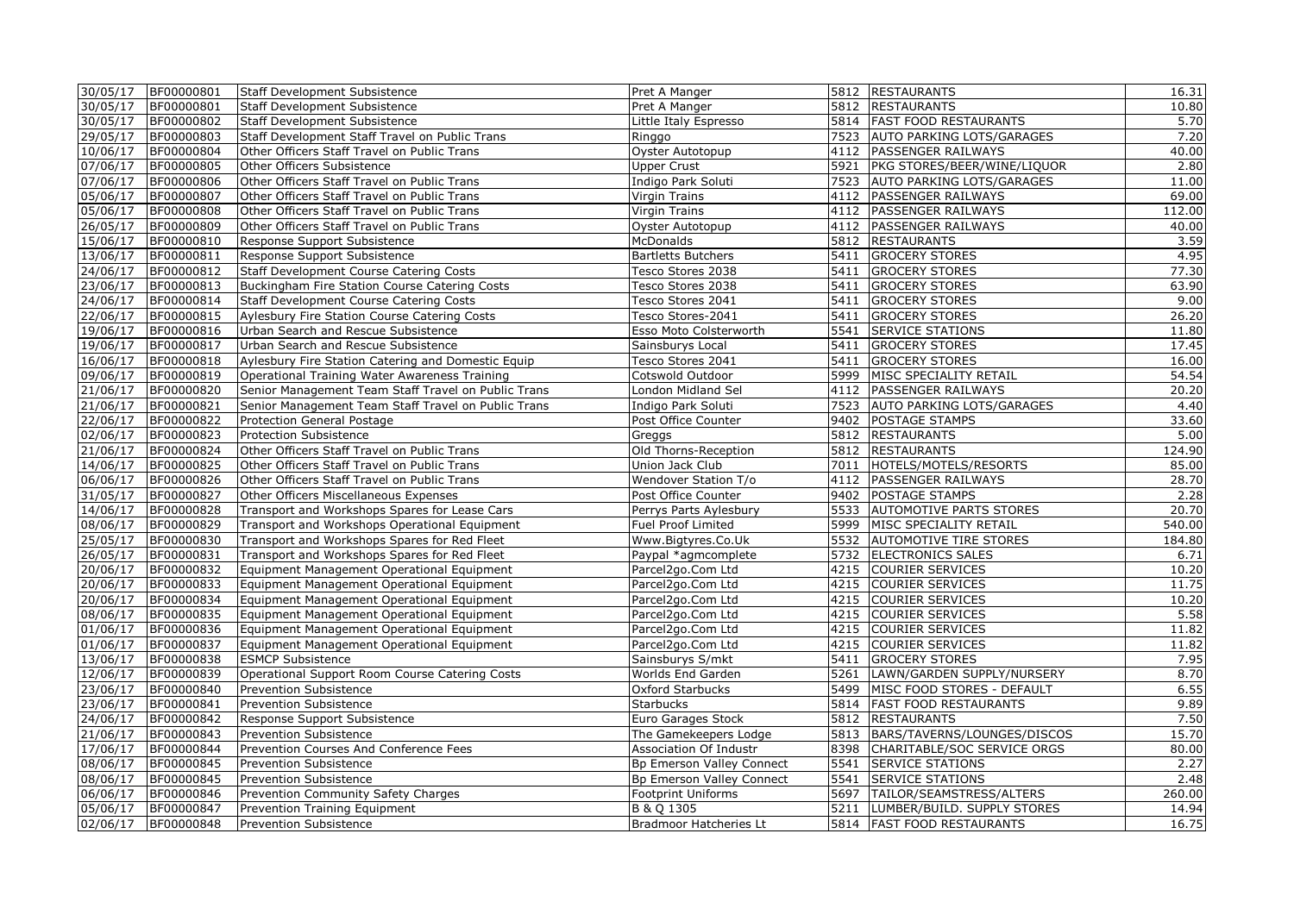|          | 30/05/17 BF00000801 | <b>Staff Development Subsistence</b>                | Pret A Manger             |      | 5812 RESTAURANTS                   | 16.31  |
|----------|---------------------|-----------------------------------------------------|---------------------------|------|------------------------------------|--------|
| 30/05/17 | BF00000801          | <b>Staff Development Subsistence</b>                | Pret A Manger             |      | 5812 RESTAURANTS                   | 10.80  |
| 30/05/17 | BF00000802          | <b>Staff Development Subsistence</b>                | Little Italy Espresso     |      | 5814 FAST FOOD RESTAURANTS         | 5.70   |
| 29/05/17 | BF00000803          | Staff Development Staff Travel on Public Trans      | Ringgo                    |      | 7523 AUTO PARKING LOTS/GARAGES     | 7.20   |
| 10/06/17 | BF00000804          | Other Officers Staff Travel on Public Trans         | Oyster Autotopup          |      | 4112 PASSENGER RAILWAYS            | 40.00  |
| 07/06/17 | BF00000805          | Other Officers Subsistence                          | <b>Upper Crust</b>        |      | 5921   PKG STORES/BEER/WINE/LIQUOR | 2.80   |
| 07/06/17 | BF00000806          | Other Officers Staff Travel on Public Trans         | Indigo Park Soluti        |      | 7523 AUTO PARKING LOTS/GARAGES     | 11.00  |
| 05/06/17 | BF00000807          | Other Officers Staff Travel on Public Trans         | Virgin Trains             |      | 4112   PASSENGER RAILWAYS          | 69.00  |
| 05/06/17 | BF00000808          | Other Officers Staff Travel on Public Trans         | Virgin Trains             |      | 4112 PASSENGER RAILWAYS            | 112.00 |
|          |                     |                                                     |                           |      |                                    | 40.00  |
| 26/05/17 | BF00000809          | Other Officers Staff Travel on Public Trans         | Oyster Autotopup          |      | 4112 PASSENGER RAILWAYS            |        |
| 15/06/17 | BF00000810          | Response Support Subsistence                        | <b>McDonalds</b>          |      | 5812 RESTAURANTS                   | 3.59   |
| 13/06/17 | BF00000811          | Response Support Subsistence                        | <b>Bartletts Butchers</b> |      | 5411 GROCERY STORES                | 4.95   |
| 24/06/17 | BF00000812          | Staff Development Course Catering Costs             | Tesco Stores 2038         |      | 5411 GROCERY STORES                | 77.30  |
| 23/06/17 | BF00000813          | Buckingham Fire Station Course Catering Costs       | Tesco Stores 2038         |      | 5411 GROCERY STORES                | 63.90  |
| 24/06/17 | BF00000814          | <b>Staff Development Course Catering Costs</b>      | Tesco Stores 2041         |      | 5411 GROCERY STORES                | 9.00   |
| 22/06/17 | BF00000815          | Aylesbury Fire Station Course Catering Costs        | Tesco Stores-2041         |      | 5411 GROCERY STORES                | 26.20  |
| 19/06/17 | BF00000816          | Urban Search and Rescue Subsistence                 | Esso Moto Colsterworth    |      | 5541 SERVICE STATIONS              | 11.80  |
| 19/06/17 | BF00000817          | Urban Search and Rescue Subsistence                 | Sainsburys Local          |      | 5411 GROCERY STORES                | 17.45  |
| 16/06/17 | BF00000818          | Aylesbury Fire Station Catering and Domestic Equip  | Tesco Stores 2041         |      | 5411 GROCERY STORES                | 16.00  |
| 09/06/17 | BF00000819          | Operational Training Water Awareness Training       | Cotswold Outdoor          |      | 5999 MISC SPECIALITY RETAIL        | 54.54  |
| 21/06/17 | BF00000820          | Senior Management Team Staff Travel on Public Trans | London Midland Sel        |      | 4112 PASSENGER RAILWAYS            | 20.20  |
| 21/06/17 | BF00000821          | Senior Management Team Staff Travel on Public Trans | Indigo Park Soluti        |      | 7523 AUTO PARKING LOTS/GARAGES     | 4.40   |
| 22/06/17 | BF00000822          | Protection General Postage                          | Post Office Counter       |      | 9402   POSTAGE STAMPS              | 33.60  |
| 02/06/17 | BF00000823          | Protection Subsistence                              | Greggs                    |      | 5812 RESTAURANTS                   | 5.00   |
| 21/06/17 | BF00000824          | Other Officers Staff Travel on Public Trans         | Old Thorns-Reception      |      | 5812 RESTAURANTS                   | 124.90 |
| 14/06/17 | BF00000825          | Other Officers Staff Travel on Public Trans         | Union Jack Club           |      | 7011 HOTELS/MOTELS/RESORTS         | 85.00  |
| 06/06/17 | BF00000826          | Other Officers Staff Travel on Public Trans         | Wendover Station T/o      |      | 4112   PASSENGER RAILWAYS          | 28.70  |
| 31/05/17 | BF00000827          | Other Officers Miscellaneous Expenses               | Post Office Counter       |      | 9402 POSTAGE STAMPS                | 2.28   |
| 14/06/17 | BF00000828          | Transport and Workshops Spares for Lease Cars       | Perrys Parts Aylesbury    |      | 5533 AUTOMOTIVE PARTS STORES       | 20.70  |
| 08/06/17 | BF00000829          | Transport and Workshops Operational Equipment       | Fuel Proof Limited        |      | 5999 MISC SPECIALITY RETAIL        | 540.00 |
| 25/05/17 | BF00000830          | Transport and Workshops Spares for Red Fleet        | Www.Bigtyres.Co.Uk        |      | 5532 AUTOMOTIVE TIRE STORES        | 184.80 |
| 26/05/17 | BF00000831          | Transport and Workshops Spares for Red Fleet        | Paypal *agmcomplete       |      | 5732 ELECTRONICS SALES             | 6.71   |
| 20/06/17 | BF00000832          | Equipment Management Operational Equipment          | Parcel2go.Com Ltd         |      | 4215 COURIER SERVICES              | 10.20  |
| 20/06/17 | BF00000833          | Equipment Management Operational Equipment          | Parcel2go.Com Ltd         |      | 4215 COURIER SERVICES              | 11.75  |
| 20/06/17 | BF00000834          | Equipment Management Operational Equipment          | Parcel2go.Com Ltd         |      | 4215 COURIER SERVICES              | 10.20  |
| 08/06/17 | BF00000835          | Equipment Management Operational Equipment          | Parcel2go.Com Ltd         |      | 4215 COURIER SERVICES              | 5.58   |
| 01/06/17 | BF00000836          | Equipment Management Operational Equipment          | Parcel2go.Com Ltd         |      | 4215 COURIER SERVICES              | 11.82  |
| 01/06/17 | BF00000837          | Equipment Management Operational Equipment          | Parcel2go.Com Ltd         |      | 4215 COURIER SERVICES              | 11.82  |
| 13/06/17 | BF00000838          | <b>ESMCP Subsistence</b>                            | Sainsburys S/mkt          |      | 5411 GROCERY STORES                | 7.95   |
| 12/06/17 | BF00000839          | Operational Support Room Course Catering Costs      | Worlds End Garden         | 5261 | LAWN/GARDEN SUPPLY/NURSERY         | 8.70   |
| 23/06/17 | BF00000840          | Prevention Subsistence                              | Oxford Starbucks          |      | 5499 MISC FOOD STORES - DEFAULT    | 6.55   |
| 23/06/17 | BF00000841          | Prevention Subsistence                              | <b>Starbucks</b>          |      | 5814 FAST FOOD RESTAURANTS         | 9.89   |
| 24/06/17 | BF00000842          | Response Support Subsistence                        | Euro Garages Stock        |      | 5812 RESTAURANTS                   | 7.50   |
| 21/06/17 | BF00000843          | Prevention Subsistence                              | The Gamekeepers Lodge     |      | 5813 BARS/TAVERNS/LOUNGES/DISCOS   | 15.70  |
| 17/06/17 | BF00000844          | Prevention Courses And Conference Fees              | Association Of Industr    | 8398 | CHARITABLE/SOC SERVICE ORGS        | 80.00  |
| 08/06/17 | BF00000845          | Prevention Subsistence                              | Bp Emerson Valley Connect | 5541 | <b>SERVICE STATIONS</b>            | 2.27   |
| 08/06/17 | BF00000845          | Prevention Subsistence                              | Bp Emerson Valley Connect |      | 5541 SERVICE STATIONS              | 2.48   |
| 06/06/17 | BF00000846          | Prevention Community Safety Charges                 | <b>Footprint Uniforms</b> |      | 5697 TAILOR/SEAMSTRESS/ALTERS      | 260.00 |
| 05/06/17 | BF00000847          | Prevention Training Equipment                       | B & Q 1305                |      | 5211  LUMBER/BUILD. SUPPLY STORES  | 14.94  |
|          | 02/06/17 BF00000848 | <b>Prevention Subsistence</b>                       | Bradmoor Hatcheries Lt    |      | 5814   FAST FOOD RESTAURANTS       | 16.75  |
|          |                     |                                                     |                           |      |                                    |        |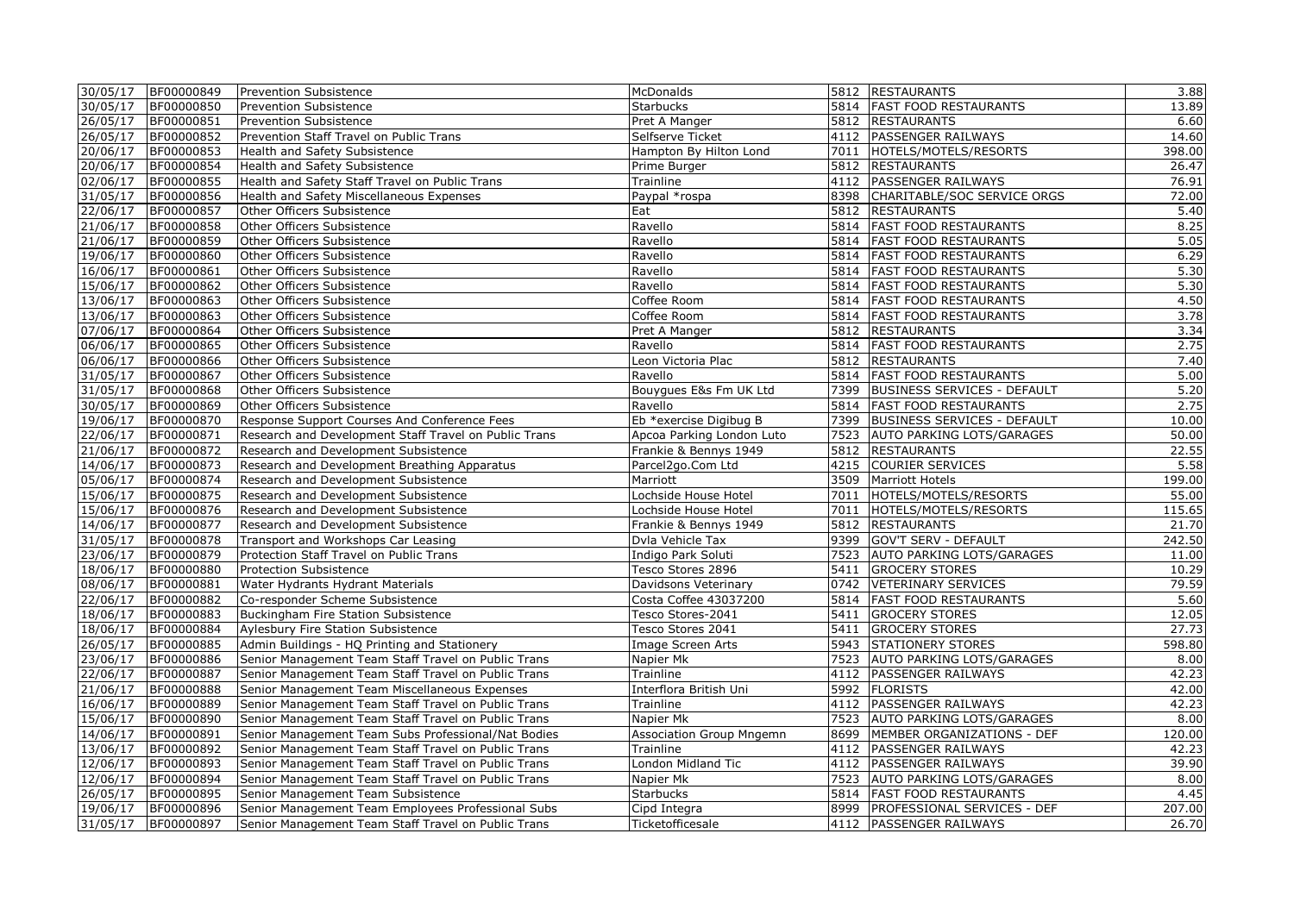|          | 30/05/17 BF00000849 | Prevention Subsistence                                | McDonalds                       |      | 5812 RESTAURANTS                              | 3.88            |
|----------|---------------------|-------------------------------------------------------|---------------------------------|------|-----------------------------------------------|-----------------|
| 30/05/17 | BF00000850          | <b>Prevention Subsistence</b>                         | <b>Starbucks</b>                |      | 5814   FAST FOOD RESTAURANTS                  | 13.89           |
| 26/05/17 | BF00000851          | Prevention Subsistence                                | Pret A Manger                   |      | 5812 RESTAURANTS                              | 6.60            |
| 26/05/17 | BF00000852          | Prevention Staff Travel on Public Trans               | Selfserve Ticket                |      | 4112 PASSENGER RAILWAYS                       | 14.60           |
| 20/06/17 | BF00000853          | Health and Safety Subsistence                         | Hampton By Hilton Lond          |      | 7011 HOTELS/MOTELS/RESORTS                    | 398.00          |
| 20/06/17 | BF00000854          | Health and Safety Subsistence                         | Prime Burger                    |      | 5812 RESTAURANTS                              | 26.47           |
| 02/06/17 | BF00000855          | Health and Safety Staff Travel on Public Trans        | Trainline                       |      | 4112 PASSENGER RAILWAYS                       | 76.91           |
| 31/05/17 | BF00000856          | Health and Safety Miscellaneous Expenses              | Paypal *rospa                   | 8398 | CHARITABLE/SOC SERVICE ORGS                   | 72.00           |
| 22/06/17 | BF00000857          | Other Officers Subsistence                            | Eat                             | 5812 | <b>RESTAURANTS</b>                            | 5.40            |
| 21/06/17 | BF00000858          | Other Officers Subsistence                            | Ravello                         | 5814 | <b>FAST FOOD RESTAURANTS</b>                  | 8.25            |
| 21/06/17 | BF00000859          | Other Officers Subsistence                            | Ravello                         | 5814 | <b>FAST FOOD RESTAURANTS</b>                  | 5.05            |
| 19/06/17 | BF00000860          | Other Officers Subsistence                            | Ravello                         | 5814 | <b>FAST FOOD RESTAURANTS</b>                  | 6.29            |
| 16/06/17 | BF00000861          | Other Officers Subsistence                            | Ravello                         | 5814 | <b>FAST FOOD RESTAURANTS</b>                  | 5.30            |
| 15/06/17 | BF00000862          | Other Officers Subsistence                            | Ravello                         | 5814 | <b>FAST FOOD RESTAURANTS</b>                  | 5.30            |
| 13/06/17 | BF00000863          | Other Officers Subsistence                            | Coffee Room                     | 5814 | <b>FAST FOOD RESTAURANTS</b>                  | 4.50            |
| 13/06/17 | BF00000863          | Other Officers Subsistence                            | Coffee Room                     | 5814 | <b>FAST FOOD RESTAURANTS</b>                  | 3.78            |
| 07/06/17 | BF00000864          | Other Officers Subsistence                            | Pret A Manger                   | 5812 | <b>RESTAURANTS</b>                            | 3.34            |
| 06/06/17 | BF00000865          | Other Officers Subsistence                            | Ravello                         | 5814 | <b>FAST FOOD RESTAURANTS</b>                  | 2.75            |
| 06/06/17 | BF00000866          | Other Officers Subsistence                            | Leon Victoria Plac              | 5812 | <b>RESTAURANTS</b>                            | 7.40            |
| 31/05/17 | BF00000867          | Other Officers Subsistence                            | Ravello                         | 5814 | <b>FAST FOOD RESTAURANTS</b>                  | 5.00            |
| 31/05/17 | BF00000868          | Other Officers Subsistence                            | Bouygues E&s Fm UK Ltd          | 7399 | <b>BUSINESS SERVICES - DEFAULT</b>            | 5.20            |
| 30/05/17 | BF00000869          | Other Officers Subsistence                            | Ravello                         | 5814 | <b>FAST FOOD RESTAURANTS</b>                  | 2.75            |
| 19/06/17 | BF00000870          | Response Support Courses And Conference Fees          | Eb *exercise Digibug B          | 7399 | <b>BUSINESS SERVICES - DEFAULT</b>            | 10.00           |
| 22/06/17 | BF00000871          | Research and Development Staff Travel on Public Trans | Apcoa Parking London Luto       |      | 7523 AUTO PARKING LOTS/GARAGES                | 50.00           |
| 21/06/17 | BF00000872          | Research and Development Subsistence                  | Frankie & Bennys 1949           |      | 5812 RESTAURANTS                              | 22.55           |
| 14/06/17 | BF00000873          | Research and Development Breathing Apparatus          | Parcel2go.Com Ltd               |      | 4215 COURIER SERVICES                         | 5.58            |
| 05/06/17 | BF00000874          | Research and Development Subsistence                  | Marriott                        |      | 3509 Marriott Hotels                          | 199.00          |
| 15/06/17 | BF00000875          |                                                       | Lochside House Hotel            |      | 7011 HOTELS/MOTELS/RESORTS                    | 55.00           |
| 15/06/17 | BF00000876          | Research and Development Subsistence                  | Lochside House Hotel            |      | 7011 HOTELS/MOTELS/RESORTS                    | 115.65          |
|          | BF00000877          | Research and Development Subsistence                  |                                 |      |                                               |                 |
| 14/06/17 |                     | Research and Development Subsistence                  | Frankie & Bennys 1949           |      | 5812 RESTAURANTS<br>9399 GOV'T SERV - DEFAULT | 21.70<br>242.50 |
| 31/05/17 | BF00000878          | Transport and Workshops Car Leasing                   | Dvla Vehicle Tax                |      |                                               |                 |
| 23/06/17 | BF00000879          | Protection Staff Travel on Public Trans               | Indigo Park Soluti              |      | 7523 AUTO PARKING LOTS/GARAGES                | 11.00           |
| 18/06/17 | BF00000880          | <b>Protection Subsistence</b>                         | Tesco Stores 2896               |      | 5411 GROCERY STORES                           | 10.29           |
| 08/06/17 | BF00000881          | Water Hydrants Hydrant Materials                      | Davidsons Veterinary            |      | 0742 VETERINARY SERVICES                      | 79.59           |
| 22/06/17 | BF00000882          | Co-responder Scheme Subsistence                       | Costa Coffee 43037200           |      | 5814 FAST FOOD RESTAURANTS                    | 5.60            |
| 18/06/17 | BF00000883          | Buckingham Fire Station Subsistence                   | Tesco Stores-2041               |      | 5411 GROCERY STORES                           | 12.05           |
| 18/06/17 | BF00000884          | Aylesbury Fire Station Subsistence                    | Tesco Stores 2041               |      | 5411 GROCERY STORES                           | 27.73           |
| 26/05/17 | BF00000885          | Admin Buildings - HQ Printing and Stationery          | Image Screen Arts               |      | 5943 STATIONERY STORES                        | 598.80          |
| 23/06/17 | BF00000886          | Senior Management Team Staff Travel on Public Trans   | Napier Mk                       |      | 7523 AUTO PARKING LOTS/GARAGES                | 8.00            |
| 22/06/17 | BF00000887          | Senior Management Team Staff Travel on Public Trans   | Trainline                       |      | 4112   PASSENGER RAILWAYS                     | 42.23           |
| 21/06/17 | BF00000888          | Senior Management Team Miscellaneous Expenses         | Interflora British Uni          |      | 5992 FLORISTS                                 | 42.00           |
| 16/06/17 | BF00000889          | Senior Management Team Staff Travel on Public Trans   | Trainline                       |      | 4112 PASSENGER RAILWAYS                       | 42.23           |
| 15/06/17 | BF00000890          | Senior Management Team Staff Travel on Public Trans   | Napier Mk                       |      | 7523 AUTO PARKING LOTS/GARAGES                | 8.00            |
| 14/06/17 | BF00000891          | Senior Management Team Subs Professional/Nat Bodies   | <b>Association Group Mngemn</b> |      | 8699 MEMBER ORGANIZATIONS - DEF               | 120.00          |
| 13/06/17 | BF00000892          | Senior Management Team Staff Travel on Public Trans   | Trainline                       |      | 4112 PASSENGER RAILWAYS                       | 42.23           |
| 12/06/17 | BF00000893          | Senior Management Team Staff Travel on Public Trans   | London Midland Tic              |      | 4112 PASSENGER RAILWAYS                       | 39.90           |
| 12/06/17 | BF00000894          | Senior Management Team Staff Travel on Public Trans   | Napier Mk                       |      | 7523 AUTO PARKING LOTS/GARAGES                | 8.00            |
| 26/05/17 | BF00000895          | Senior Management Team Subsistence                    | <b>Starbucks</b>                |      | 5814   FAST FOOD RESTAURANTS                  | 4.45            |
| 19/06/17 | BF00000896          | Senior Management Team Employees Professional Subs    | Cipd Integra                    |      | 8999   PROFESSIONAL SERVICES - DEF            | 207.00          |
| 31/05/17 | BF00000897          | Senior Management Team Staff Travel on Public Trans   | Ticketofficesale                |      | 4112 PASSENGER RAILWAYS                       | 26.70           |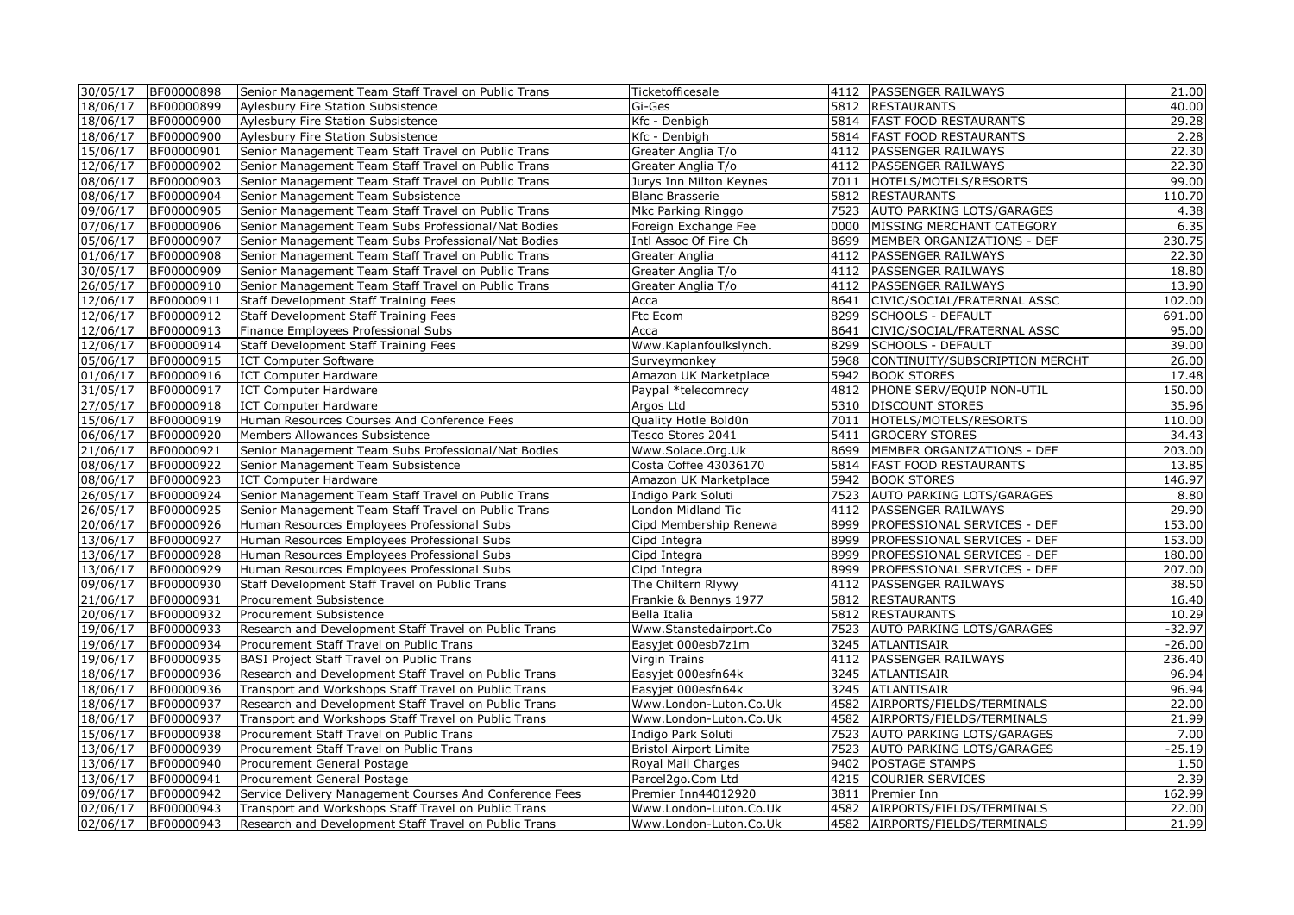| 30/05/17 | BF00000898 | Senior Management Team Staff Travel on Public Trans     | Ticketofficesale              | 4112 PASSENGER RAILWAYS             | 21.00    |
|----------|------------|---------------------------------------------------------|-------------------------------|-------------------------------------|----------|
| 18/06/17 | BF00000899 | Aylesbury Fire Station Subsistence                      | Gi-Ges                        | 5812 RESTAURANTS                    | 40.00    |
| 18/06/17 | BF00000900 | Aylesbury Fire Station Subsistence                      | Kfc - Denbigh                 | 5814 FAST FOOD RESTAURANTS          | 29.28    |
| 18/06/17 | BF00000900 | Aylesbury Fire Station Subsistence                      | Kfc - Denbigh                 | 5814   FAST FOOD RESTAURANTS        | 2.28     |
| 15/06/17 | BF00000901 | Senior Management Team Staff Travel on Public Trans     | Greater Anglia T/o            | 4112 PASSENGER RAILWAYS             | 22.30    |
| 12/06/17 | BF00000902 | Senior Management Team Staff Travel on Public Trans     | Greater Anglia T/o            | 4112   PASSENGER RAILWAYS           | 22.30    |
| 08/06/17 | BF00000903 | Senior Management Team Staff Travel on Public Trans     | Jurys Inn Milton Keynes       | 7011  HOTELS/MOTELS/RESORTS         | 99.00    |
| 08/06/17 | BF00000904 | Senior Management Team Subsistence                      | <b>Blanc Brasserie</b>        | 5812 RESTAURANTS                    | 110.70   |
| 09/06/17 | BF00000905 | Senior Management Team Staff Travel on Public Trans     | Mkc Parking Ringgo            | 7523 AUTO PARKING LOTS/GARAGES      | 4.38     |
| 07/06/17 | BF00000906 | Senior Management Team Subs Professional/Nat Bodies     | Foreign Exchange Fee          | 0000 MISSING MERCHANT CATEGORY      | 6.35     |
| 05/06/17 | BF00000907 | Senior Management Team Subs Professional/Nat Bodies     | Intl Assoc Of Fire Ch         | 8699   MEMBER ORGANIZATIONS - DEF   | 230.75   |
| 01/06/17 | BF00000908 | Senior Management Team Staff Travel on Public Trans     | Greater Anglia                | 4112   PASSENGER RAILWAYS           | 22.30    |
| 30/05/17 | BF00000909 | Senior Management Team Staff Travel on Public Trans     | Greater Anglia T/o            | 4112   PASSENGER RAILWAYS           | 18.80    |
| 26/05/17 | BF00000910 | Senior Management Team Staff Travel on Public Trans     | Greater Anglia T/o            | 4112   PASSENGER RAILWAYS           | 13.90    |
| 12/06/17 | BF00000911 | <b>Staff Development Staff Training Fees</b>            | Acca                          | 8641 CIVIC/SOCIAL/FRATERNAL ASSC    | 102.00   |
| 12/06/17 | BF00000912 | Staff Development Staff Training Fees                   | Ftc Ecom                      | 8299 SCHOOLS - DEFAULT              | 691.00   |
| 12/06/17 | BF00000913 | Finance Employees Professional Subs                     | Acca                          | 8641 CIVIC/SOCIAL/FRATERNAL ASSC    | 95.00    |
| 12/06/17 | BF00000914 | Staff Development Staff Training Fees                   | Www.Kaplanfoulkslynch.        | 8299 SCHOOLS - DEFAULT              | 39.00    |
| 05/06/17 | BF00000915 | <b>ICT Computer Software</b>                            | Surveymonkey                  | 5968 CONTINUITY/SUBSCRIPTION MERCHT | 26.00    |
| 01/06/17 | BF00000916 | <b>ICT Computer Hardware</b>                            | Amazon UK Marketplace         | 5942 BOOK STORES                    | 17.48    |
| 31/05/17 | BF00000917 | <b>ICT Computer Hardware</b>                            | Paypal *telecomrecy           | 4812 PHONE SERV/EQUIP NON-UTIL      | 150.00   |
| 27/05/17 | BF00000918 | <b>ICT Computer Hardware</b>                            | Argos Ltd                     | 5310 DISCOUNT STORES                | 35.96    |
| 15/06/17 | BF00000919 | Human Resources Courses And Conference Fees             | Quality Hotle Bold0n          | 7011  HOTELS/MOTELS/RESORTS         | 110.00   |
| 06/06/17 | BF00000920 | Members Allowances Subsistence                          | Tesco Stores 2041             | 5411 GROCERY STORES                 | 34.43    |
| 21/06/17 | BF00000921 | Senior Management Team Subs Professional/Nat Bodies     | Www.Solace.Org.Uk             | 8699   MEMBER ORGANIZATIONS - DEF   | 203.00   |
| 08/06/17 | BF00000922 | Senior Management Team Subsistence                      | Costa Coffee 43036170         | 5814   FAST FOOD RESTAURANTS        | 13.85    |
| 08/06/17 | BF00000923 | <b>ICT Computer Hardware</b>                            | Amazon UK Marketplace         | 5942 BOOK STORES                    | 146.97   |
| 26/05/17 | BF00000924 | Senior Management Team Staff Travel on Public Trans     | Indigo Park Soluti            | 7523 AUTO PARKING LOTS/GARAGES      | 8.80     |
| 26/05/17 | BF00000925 | Senior Management Team Staff Travel on Public Trans     | London Midland Tic            | 4112 PASSENGER RAILWAYS             | 29.90    |
| 20/06/17 | BF00000926 | Human Resources Employees Professional Subs             | Cipd Membership Renewa        | 8999   PROFESSIONAL SERVICES - DEF  | 153.00   |
| 13/06/17 | BF00000927 | Human Resources Employees Professional Subs             | Cipd Integra                  | 8999   PROFESSIONAL SERVICES - DEF  | 153.00   |
| 13/06/17 | BF00000928 | Human Resources Employees Professional Subs             | Cipd Integra                  | 8999   PROFESSIONAL SERVICES - DEF  | 180.00   |
| 13/06/17 | BF00000929 | Human Resources Employees Professional Subs             | Cipd Integra                  | 8999   PROFESSIONAL SERVICES - DEF  | 207.00   |
| 09/06/17 | BF00000930 | Staff Development Staff Travel on Public Trans          | The Chiltern Rlywy            | 4112 PASSENGER RAILWAYS             | 38.50    |
| 21/06/17 | BF00000931 | Procurement Subsistence                                 | Frankie & Bennys 1977         | 5812 RESTAURANTS                    | 16.40    |
| 20/06/17 | BF00000932 | Procurement Subsistence                                 | Bella Italia                  | 5812 RESTAURANTS                    | 10.29    |
| 19/06/17 | BF00000933 | Research and Development Staff Travel on Public Trans   | Www.Stanstedairport.Co        | 7523 AUTO PARKING LOTS/GARAGES      | $-32.97$ |
| 19/06/17 | BF00000934 | Procurement Staff Travel on Public Trans                | Easyjet 000esb7z1m            | 3245 ATLANTISAIR                    | $-26.00$ |
| 19/06/17 | BF00000935 | <b>BASI Project Staff Travel on Public Trans</b>        | Virgin Trains                 | 4112 PASSENGER RAILWAYS             | 236.40   |
| 18/06/17 | BF00000936 | Research and Development Staff Travel on Public Trans   | Easyjet 000esfn64k            | 3245 ATLANTISAIR                    | 96.94    |
| 18/06/17 | BF00000936 | Transport and Workshops Staff Travel on Public Trans    | Easyjet 000esfn64k            | 3245 ATLANTISAIR                    | 96.94    |
| 18/06/17 | BF00000937 | Research and Development Staff Travel on Public Trans   | Www.London-Luton.Co.Uk        | 4582 AIRPORTS/FIELDS/TERMINALS      | 22.00    |
| 18/06/17 | BF00000937 | Transport and Workshops Staff Travel on Public Trans    | Www.London-Luton.Co.Uk        | 4582 AIRPORTS/FIELDS/TERMINALS      | 21.99    |
| 15/06/17 | BF00000938 | Procurement Staff Travel on Public Trans                | Indigo Park Soluti            | 7523 AUTO PARKING LOTS/GARAGES      | 7.00     |
| 13/06/17 | BF00000939 | Procurement Staff Travel on Public Trans                | <b>Bristol Airport Limite</b> | 7523 AUTO PARKING LOTS/GARAGES      | $-25.19$ |
| 13/06/17 | BF00000940 | Procurement General Postage                             | Royal Mail Charges            | 9402 POSTAGE STAMPS                 | 1.50     |
| 13/06/17 | BF00000941 | Procurement General Postage                             | Parcel2go.Com Ltd             | 4215 COURIER SERVICES               | 2.39     |
| 09/06/17 | BF00000942 | Service Delivery Management Courses And Conference Fees | Premier Inn44012920           | 3811 Premier Inn                    | 162.99   |
| 02/06/17 | BF00000943 | Transport and Workshops Staff Travel on Public Trans    | Www.London-Luton.Co.Uk        | 4582 AIRPORTS/FIELDS/TERMINALS      | 22.00    |
| 02/06/17 | BF00000943 | Research and Development Staff Travel on Public Trans   | Www.London-Luton.Co.Uk        | 4582 AIRPORTS/FIELDS/TERMINALS      | 21.99    |